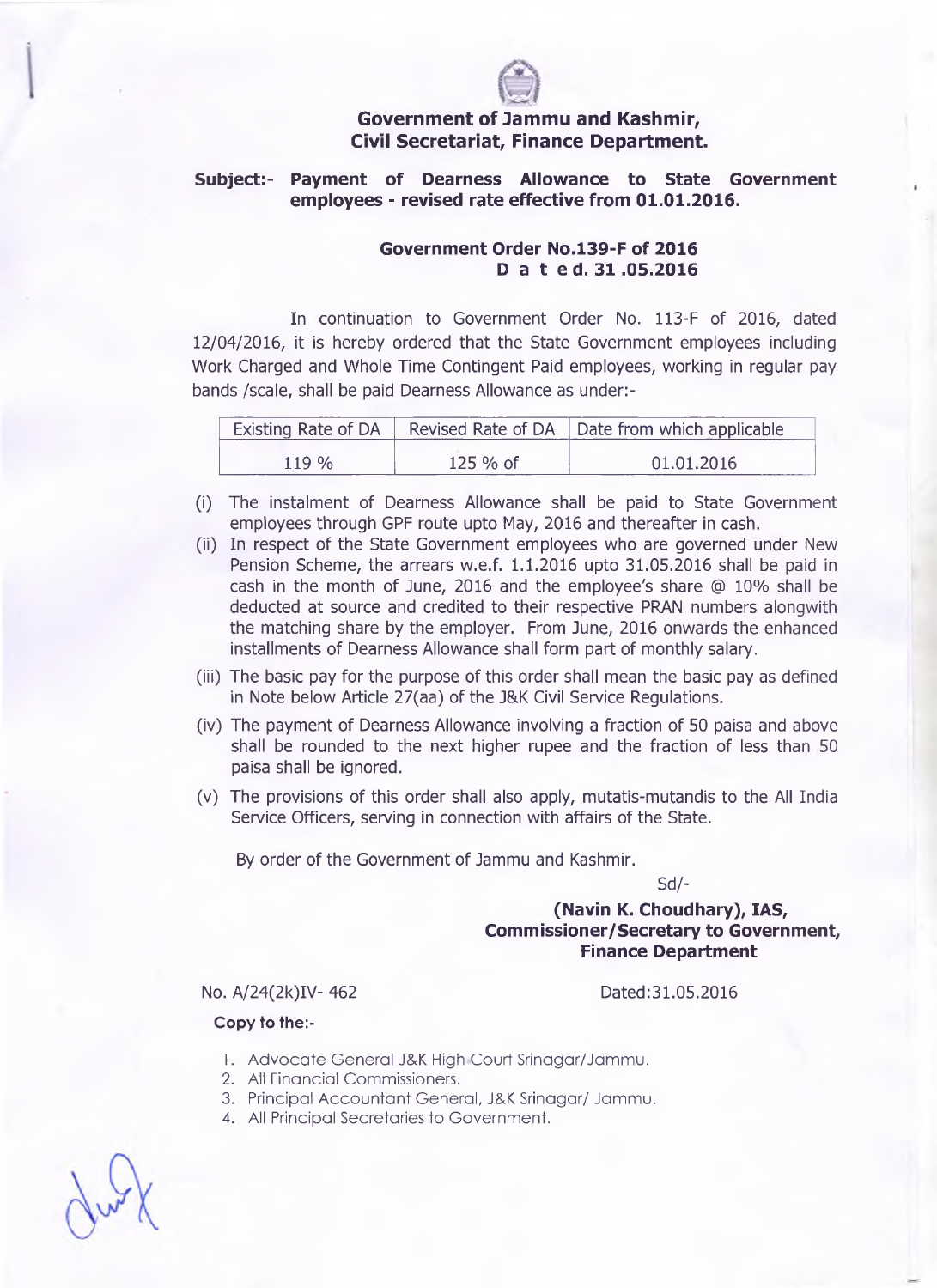

# **Government of Jammu and Kashmir, Civil Secretariat, Finance Department.**

## **Subject:- Payment of Dearness Allowance to State Government employees - revised rate effective from 01.01.2016.**

### **Government Order No.l39-F of 2016 D a t ed. 31.05.2016**

In continuation to Government Order No. 113-F of 2016, dated 12/04/2016, it is hereby ordered that the State Government employees including Work Charged and Whole Time Contingent Paid employees, working in regular pay bands /scale, shall be paid Dearness Allowance as under:-

| Existing Rate of DA $\parallel$ |           | Revised Rate of DA   Date from which applicable |
|---------------------------------|-----------|-------------------------------------------------|
| 119 %                           | $125%$ of | 01.01.2016                                      |

- (i) The instalment of Dearness Allowance shall be paid to State Government employees through GPF route upto May, 2016 and thereafter in cash.
- (ii) In respect of the State Government employees who are governed under New Pension Scheme, the arrears w.e.f. 1.1.2016 upto 31.05.2016 shall be paid in cash in the month of June, 2016 and the employee's share @ 10% shall be deducted at source and credited to their respective PRAN numbers alongwith the matching share by the employer. From June, 2016 onwards the enhanced installments of Dearness Allowance shall form part of monthly salary.
- (iii) The basic pay for the purpose of this order shall mean the basic pay as defined in Note below Article 27(aa) of the J&K Civil Service Regulations.
- (iv) The payment of Dearness Allowance involving a fraction of 50 paisa and above shall be rounded to the next higher rupee and the fraction of less than 50 paisa shall be ignored.
- (v) The provisions of this order shall also apply, mutatis-mutandis to the All India Service Officers, serving in connection with affairs of the State.

By order of the Government of Jammu and Kashmir.

Sd/-

# **(Navin K. Choudhary), IAS, Commissioner/Secretary to Government, Finance Department**

No. A/24(2k)IV-462 Dated:31.05.2016

#### **Copy to the:-**

- 1. Advocate General J&K High Court Srinagar/Jammu.
- 2. All Financial Commissioners.
- 3. Principal Accountant General, J&K Srinagar/ Jammu.
- 4. All Principal Secretaries to Government.